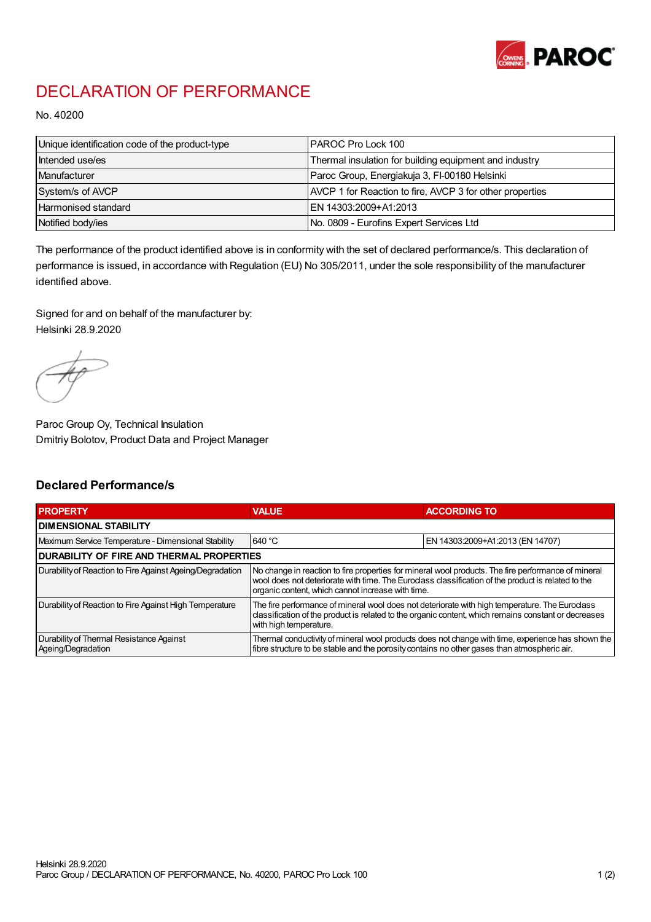

## DECLARATION OF PERFORMANCE

No. 40200

| Unique identification code of the product-type | IPAROC Pro Lock 100                                      |
|------------------------------------------------|----------------------------------------------------------|
| Intended use/es                                | Thermal insulation for building equipment and industry   |
| Manufacturer                                   | Paroc Group, Energiakuja 3, FI-00180 Helsinki            |
| System/s of AVCP                               | AVCP 1 for Reaction to fire, AVCP 3 for other properties |
| Harmonised standard                            | IEN 14303:2009+A1:2013                                   |
| Notified body/ies                              | No. 0809 - Eurofins Expert Services Ltd                  |

The performance of the product identified above is in conformity with the set of declared performance/s. This declaration of performance is issued, in accordance with Regulation (EU) No 305/2011, under the sole responsibility of the manufacturer identified above.

Signed for and on behalf of the manufacturer by: Helsinki 28.9.2020

Paroc Group Oy, Technical Insulation Dmitriy Bolotov, Product Data and Project Manager

## Declared Performance/s

| <b>PROPERTY</b>                                                | <b>VALUE</b>                                                                                                                                                                                                                                                   | <b>ACCORDING TO</b>              |  |
|----------------------------------------------------------------|----------------------------------------------------------------------------------------------------------------------------------------------------------------------------------------------------------------------------------------------------------------|----------------------------------|--|
| <b>DIMENSIONAL STABILITY</b>                                   |                                                                                                                                                                                                                                                                |                                  |  |
| Maximum Service Temperature - Dimensional Stability            | 640 °C                                                                                                                                                                                                                                                         | EN 14303:2009+A1:2013 (EN 14707) |  |
| <b>DURABILITY OF FIRE AND THERMAL PROPERTIES</b>               |                                                                                                                                                                                                                                                                |                                  |  |
| Durability of Reaction to Fire Against Ageing/Degradation      | No change in reaction to fire properties for mineral wool products. The fire performance of mineral<br>wool does not deteriorate with time. The Euroclass classification of the product is related to the<br>organic content, which cannot increase with time. |                                  |  |
| Durability of Reaction to Fire Against High Temperature        | The fire performance of mineral wool does not deteriorate with high temperature. The Euroclass<br>classification of the product is related to the organic content, which remains constant or decreases<br>with high temperature.                               |                                  |  |
| Durability of Thermal Resistance Against<br>Ageing/Degradation | Thermal conductivity of mineral wool products does not change with time, experience has shown the<br>fibre structure to be stable and the porosity contains no other gases than atmospheric air.                                                               |                                  |  |